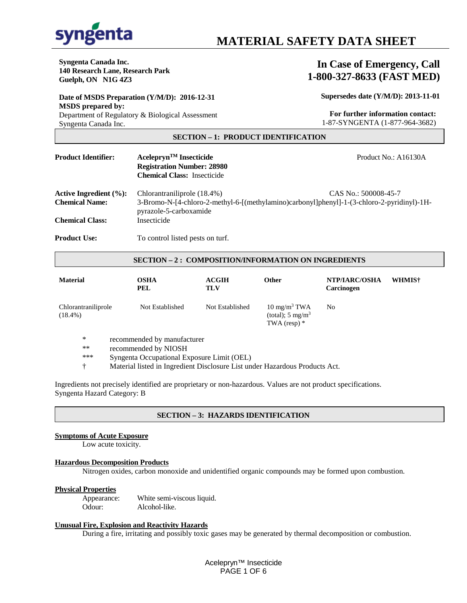

# **Syngenta** MATERIAL SAFETY DATA SHEET

**Syngenta Canada Inc. 140 Research Lane, Research Park Guelph, ON N1G 4Z3**

### **In Case of Emergency, Call 1-800-327-8633 (FAST MED)**

**Date of MSDS Preparation (Y/M/D): 2016-12-31 MSDS prepared by:** Department of Regulatory & Biological Assessment Syngenta Canada Inc.

**Supersedes date (Y/M/D): 2013-11-01**

 **For further information contact:**  1-87-SYNGENTA (1-877-964-3682)

#### **SECTION – 1: PRODUCT IDENTIFICATION**

**Product Identifier: Acelepryn<sup>TM</sup> Insecticide** Product No.: A16130A  **Registration Number: 28980 Chemical Class:** Insecticide Active Ingredient (%): Chlorantraniliprole (18.4%) CAS No.: 500008-45-7 **Chemical Name:** 3-Bromo-N-[4-chloro-2-methyl-6-[(methylamino)carbonyl]phenyl]-1-(3-chloro-2-pyridinyl)-1Hpyrazole-5-carboxamide **Chemical Class:** Insecticide **Product Use:** To control listed pests on turf.

#### **SECTION – 2 : COMPOSITION/INFORMATION ON INGREDIENTS**

| <b>Material</b>                   | OSHA<br>PEL     | <b>ACGIH</b><br>TLV | <b>Other</b>                                                             | NTP/IARC/OSHA<br>Carcinogen | WHMIS <sup>†</sup> |
|-----------------------------------|-----------------|---------------------|--------------------------------------------------------------------------|-----------------------------|--------------------|
| Chlorantraniliprole<br>$(18.4\%)$ | Not Established | Not Established     | $10 \text{ mg/m}^3$ TWA<br>(total); $5 \text{ mg/m}^3$<br>TWA (resp) $*$ | No                          |                    |

- \* recommended by manufacturer<br>\*\* recommended by NIOSH
- \*\* recommended by NIOSH<br>\*\*\* Syngenta Occupational Fy
- Syngenta Occupational Exposure Limit (OEL)
- † Material listed in Ingredient Disclosure List under Hazardous Products Act.

Ingredients not precisely identified are proprietary or non-hazardous. Values are not product specifications. Syngenta Hazard Category: B

#### **SECTION – 3: HAZARDS IDENTIFICATION**

#### **Symptoms of Acute Exposure**

Low acute toxicity.

#### **Hazardous Decomposition Products**

Nitrogen oxides, carbon monoxide and unidentified organic compounds may be formed upon combustion.

## **Physical Properties**

White semi-viscous liquid. Odour: Alcohol-like.

#### **Unusual Fire, Explosion and Reactivity Hazards**

During a fire, irritating and possibly toxic gases may be generated by thermal decomposition or combustion.

Acelepryn™ Insecticide PAGE 1 OF 6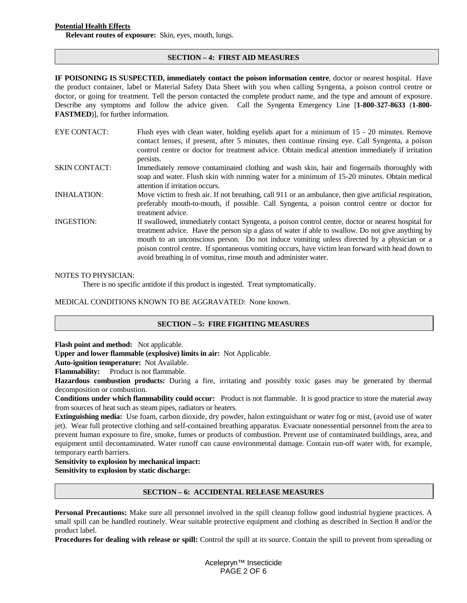#### **Potential Health Effects**

**Relevant routes of exposure:** Skin, eyes, mouth, lungs.

#### **SECTION – 4: FIRST AID MEASURES**

**IF POISONING IS SUSPECTED, immediately contact the poison information centre**, doctor or nearest hospital. Have the product container, label or Material Safety Data Sheet with you when calling Syngenta, a poison control centre or doctor, or going for treatment. Tell the person contacted the complete product name, and the type and amount of exposure. Describe any symptoms and follow the advice given. Call the Syngenta Emergency Line [**1-800-327-8633** (**1-800- FASTMED**)], for further information.

| <b>EYE CONTACT:</b>  | Flush eyes with clean water, holding eyelids apart for a minimum of 15 - 20 minutes. Remove<br>contact lenses, if present, after 5 minutes, then continue rinsing eye. Call Syngenta, a poison<br>control centre or doctor for treatment advice. Obtain medical attention immediately if irritation<br>persists.                                                                                                                                                                 |
|----------------------|----------------------------------------------------------------------------------------------------------------------------------------------------------------------------------------------------------------------------------------------------------------------------------------------------------------------------------------------------------------------------------------------------------------------------------------------------------------------------------|
| <b>SKIN CONTACT:</b> | Immediately remove contaminated clothing and wash skin, hair and fingernails thoroughly with<br>soap and water. Flush skin with running water for a minimum of 15-20 minutes. Obtain medical<br>attention if irritation occurs.                                                                                                                                                                                                                                                  |
| <b>INHALATION:</b>   | Move victim to fresh air. If not breathing, call 911 or an ambulance, then give artificial respiration,<br>preferably mouth-to-mouth, if possible. Call Syngenta, a poison control centre or doctor for<br>treatment advice.                                                                                                                                                                                                                                                     |
| <b>INGESTION:</b>    | If swallowed, immediately contact Syngenta, a poison control centre, doctor or nearest hospital for<br>treatment advice. Have the person sip a glass of water if able to swallow. Do not give anything by<br>mouth to an unconscious person. Do not induce vomiting unless directed by a physician or a<br>poison control centre. If spontaneous vomiting occurs, have victim lean forward with head down to<br>avoid breathing in of vomitus, rinse mouth and administer water. |

#### NOTES TO PHYSICIAN:

There is no specific antidote if this product is ingested. Treat symptomatically.

MEDICAL CONDITIONS KNOWN TO BE AGGRAVATED: None known.

#### **SECTION – 5: FIRE FIGHTING MEASURES**

**Flash point and method:** Not applicable.

**Upper and lower flammable (explosive) limits in air:** Not Applicable.

**Auto-ignition temperature:** Not Available.

**Flammability:** Product is not flammable.

**Hazardous combustion products:** During a fire, irritating and possibly toxic gases may be generated by thermal decomposition or combustion.

**Conditions under which flammability could occur:** Product is not flammable. It is good practice to store the material away from sources of heat such as steam pipes, radiators or heaters.

**Extinguishing media:** Use foam, carbon dioxide, dry powder, halon extinguishant or water fog or mist, (avoid use of water jet). Wear full protective clothing and self-contained breathing apparatus. Evacuate nonessential personnel from the area to prevent human exposure to fire, smoke, fumes or products of combustion. Prevent use of contaminated buildings, area, and equipment until decontaminated. Water runoff can cause environmental damage. Contain run-off water with, for example, temporary earth barriers.

#### **Sensitivity to explosion by mechanical impact:**

**Sensitivity to explosion by static discharge:**

#### **SECTION – 6: ACCIDENTAL RELEASE MEASURES**

**Personal Precautions:** Make sure all personnel involved in the spill cleanup follow good industrial hygiene practices. A small spill can be handled routinely. Wear suitable protective equipment and clothing as described in Section 8 and/or the product label.

**Procedures for dealing with release or spill:** Control the spill at its source. Contain the spill to prevent from spreading or

Acelepryn™ Insecticide PAGE 2 OF 6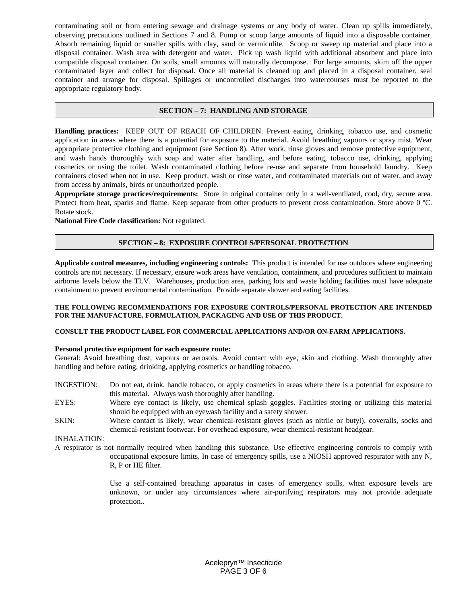contaminating soil or from entering sewage and drainage systems or any body of water. Clean up spills immediately, observing precautions outlined in Sections 7 and 8. Pump or scoop large amounts of liquid into a disposable container. Absorb remaining liquid or smaller spills with clay, sand or vermiculite. Scoop or sweep up material and place into a disposal container. Wash area with detergent and water. Pick up wash liquid with additional absorbent and place into compatible disposal container. On soils, small amounts will naturally decompose. For large amounts, skim off the upper contaminated layer and collect for disposal. Once all material is cleaned up and placed in a disposal container, seal container and arrange for disposal. Spillages or uncontrolled discharges into watercourses must be reported to the appropriate regulatory body.

#### **SECTION – 7: HANDLING AND STORAGE**

**Handling practices:** KEEP OUT OF REACH OF CHILDREN. Prevent eating, drinking, tobacco use, and cosmetic application in areas where there is a potential for exposure to the material. Avoid breathing vapours or spray mist. Wear appropriate protective clothing and equipment (see Section 8). After work, rinse gloves and remove protective equipment, and wash hands thoroughly with soap and water after handling, and before eating, tobacco use, drinking, applying cosmetics or using the toilet. Wash contaminated clothing before re-use and separate from household laundry. Keep containers closed when not in use. Keep product, wash or rinse water, and contaminated materials out of water, and away from access by animals, birds or unauthorized people.

**Appropriate storage practices/requirements:** Store in original container only in a well-ventilated, cool, dry, secure area. Protect from heat, sparks and flame. Keep separate from other products to prevent cross contamination. Store above 0 °C. Rotate stock.

**National Fire Code classification:** Not regulated.

#### **SECTION – 8: EXPOSURE CONTROLS/PERSONAL PROTECTION**

**Applicable control measures, including engineering controls:** This product is intended for use outdoors where engineering controls are not necessary. If necessary, ensure work areas have ventilation, containment, and procedures sufficient to maintain airborne levels below the TLV. Warehouses, production area, parking lots and waste holding facilities must have adequate containment to prevent environmental contamination. Provide separate shower and eating facilities.

#### **THE FOLLOWING RECOMMENDATIONS FOR EXPOSURE CONTROLS/PERSONAL PROTECTION ARE INTENDED FOR THE MANUFACTURE, FORMULATION, PACKAGING AND USE OF THIS PRODUCT.**

#### **CONSULT THE PRODUCT LABEL FOR COMMERCIAL APPLICATIONS AND/OR ON-FARM APPLICATIONS.**

#### **Personal protective equipment for each exposure route:**

General: Avoid breathing dust, vapours or aerosols. Avoid contact with eye, skin and clothing. Wash thoroughly after handling and before eating, drinking, applying cosmetics or handling tobacco.

- INGESTION: Do not eat, drink, handle tobacco, or apply cosmetics in areas where there is a potential for exposure to this material. Always wash thoroughly after handling.
- EYES: Where eye contact is likely, use chemical splash goggles. Facilities storing or utilizing this material should be equipped with an eyewash facility and a safety shower.
- SKIN: Where contact is likely, wear chemical-resistant gloves (such as nitrile or butyl), coveralls, socks and chemical-resistant footwear. For overhead exposure, wear chemical-resistant headgear.

#### INHALATION:

A respirator is not normally required when handling this substance. Use effective engineering controls to comply with occupational exposure limits. In case of emergency spills, use a NIOSH approved respirator with any N, R, P or HE filter.

> Use a self-contained breathing apparatus in cases of emergency spills, when exposure levels are unknown, or under any circumstances where air-purifying respirators may not provide adequate protection..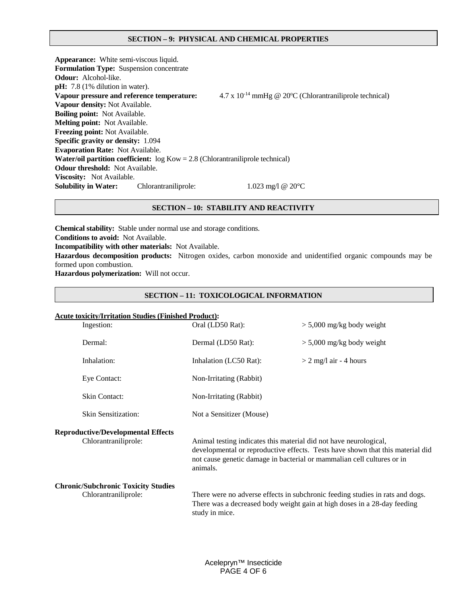#### **SECTION – 9: PHYSICAL AND CHEMICAL PROPERTIES**

**Appearance:** White semi-viscous liquid. **Formulation Type:** Suspension concentrate **Odour:** Alcohol-like. **pH:** 7.8 (1% dilution in water). Vapour pressure and reference temperature:  $4.7 \times 10^{-14}$  mmHg @ 20°C (Chlorantraniliprole technical) **Vapour density:** Not Available. **Boiling point:** Not Available. **Melting point:** Not Available. **Freezing point:** Not Available. **Specific gravity or density:** 1.094 **Evaporation Rate:** Not Available. **Water/oil partition coefficient:** log Kow = 2.8 (Chlorantraniliprole technical) **Odour threshold:** Not Available. **Viscosity:** Not Available. **Solubility in Water:** Chlorantraniliprole: 1.023 mg/l @ 20°C

#### **SECTION – 10: STABILITY AND REACTIVITY**

**Chemical stability:** Stable under normal use and storage conditions. **Conditions to avoid:** Not Available. **Incompatibility with other materials:** Not Available. **Hazardous decomposition products:** Nitrogen oxides, carbon monoxide and unidentified organic compounds may be formed upon combustion. **Hazardous polymerization:** Will not occur.

#### **SECTION – 11: TOXICOLOGICAL INFORMATION**

#### **Acute toxicity/Irritation Studies (Finished Product):**

| Ingestion:                                                         | Oral (LD50 Rat):                                                                                                                                                                                                                          | $> 5,000$ mg/kg body weight                                                                                                                               |  |
|--------------------------------------------------------------------|-------------------------------------------------------------------------------------------------------------------------------------------------------------------------------------------------------------------------------------------|-----------------------------------------------------------------------------------------------------------------------------------------------------------|--|
| Dermal:                                                            | Dermal (LD50 Rat):                                                                                                                                                                                                                        | $> 5,000$ mg/kg body weight                                                                                                                               |  |
| Inhalation:                                                        | Inhalation (LC50 Rat):                                                                                                                                                                                                                    | $>$ 2 mg/l air - 4 hours                                                                                                                                  |  |
| Eye Contact:                                                       | Non-Irritating (Rabbit)                                                                                                                                                                                                                   |                                                                                                                                                           |  |
| <b>Skin Contact:</b>                                               | Non-Irritating (Rabbit)                                                                                                                                                                                                                   |                                                                                                                                                           |  |
| <b>Skin Sensitization:</b>                                         | Not a Sensitizer (Mouse)                                                                                                                                                                                                                  |                                                                                                                                                           |  |
| <b>Reproductive/Developmental Effects</b><br>Chlorantraniliprole:  | Animal testing indicates this material did not have neurological,<br>developmental or reproductive effects. Tests have shown that this material did<br>not cause genetic damage in bacterial or mammalian cell cultures or in<br>animals. |                                                                                                                                                           |  |
| <b>Chronic/Subchronic Toxicity Studies</b><br>Chlorantraniliprole: | study in mice.                                                                                                                                                                                                                            | There were no adverse effects in subchronic feeding studies in rats and dogs.<br>There was a decreased body weight gain at high doses in a 28-day feeding |  |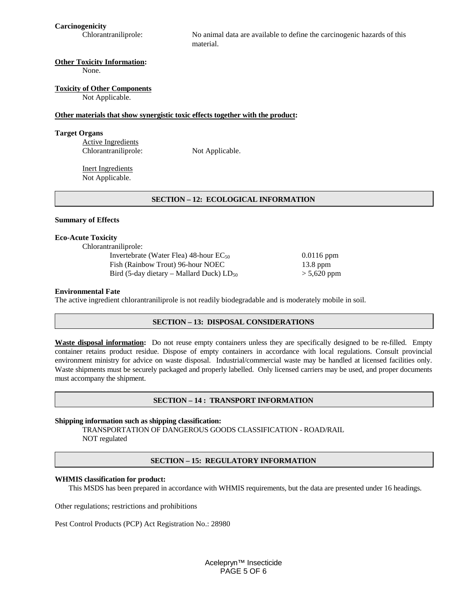**Carcinogenicity**

No animal data are available to define the carcinogenic hazards of this material.

#### **Other Toxicity Information:**

None.

#### **Toxicity of Other Components**

Not Applicable.

#### **Other materials that show synergistic toxic effects together with the product:**

#### **Target Organs**

Active Ingredients Chlorantraniliprole: Not Applicable.

Inert Ingredients Not Applicable.

#### **SECTION – 12: ECOLOGICAL INFORMATION**

#### **Summary of Effects**

#### **Eco-Acute Toxicity**

Chlorantraniliprole:

Invertebrate (Water Flea) 48-hour EC<sub>50</sub> 0.0116 ppm Fish (Rainbow Trout) 96-hour NOEC 13.8 ppm Bird (5-day dietary – Mallard Duck)  $LD_{50}$  > 5,620 ppm

#### **Environmental Fate**

The active ingredient chlorantraniliprole is not readily biodegradable and is moderately mobile in soil.

#### **SECTION – 13: DISPOSAL CONSIDERATIONS**

**Waste disposal information:** Do not reuse empty containers unless they are specifically designed to be re-filled. Empty container retains product residue. Dispose of empty containers in accordance with local regulations. Consult provincial environment ministry for advice on waste disposal. Industrial/commercial waste may be handled at licensed facilities only. Waste shipments must be securely packaged and properly labelled. Only licensed carriers may be used, and proper documents must accompany the shipment.

#### **SECTION – 14 : TRANSPORT INFORMATION**

#### **Shipping information such as shipping classification:**

TRANSPORTATION OF DANGEROUS GOODS CLASSIFICATION - ROAD/RAIL NOT regulated

#### **SECTION – 15: REGULATORY INFORMATION**

#### **WHMIS classification for product:**

This MSDS has been prepared in accordance with WHMIS requirements, but the data are presented under 16 headings.

Other regulations; restrictions and prohibitions

Pest Control Products (PCP) Act Registration No.: 28980

Acelepryn™ Insecticide PAGE 5 OF 6